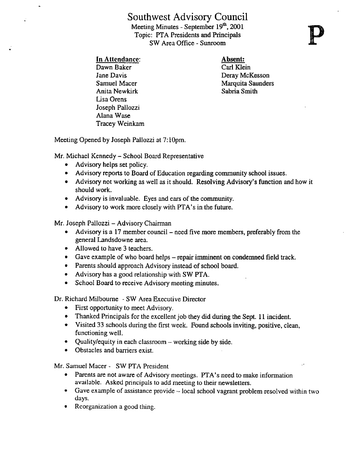## Southwest Advisory Council

Meeting Minutes - September  $19<sup>th</sup>$ , 2001 Topic: PTA Presidents and Principals SW Area Office - Sunroom SOUTIWEST AUVISOLY COUNCED<br>
Meeting Minutes - September 19<sup>th</sup>, 2001<br>
Topic: PTA Presidents and Principals<br>
SW Area Office - Sunroom<br>
<u>In Attendance</u>:<br>
Dawn Baker<br>
Jane Davis<br>
Samuel Macer<br>
Marquita

Dawn Baker Carl Klein<br>
Jane Davis Carl Carl Klein<br>
Deray McF Anita Newkirk Lisa Orens Joseph Pallozzi Alana Wase Tracey Weinkam

Jane Davis Deray McKesson Marquita Saunders<br>Sabria Smith

Meeting Opened by Joseph Pallozzi at 7:10pm.

Mr. Michael Kennedy - School Board Representative

- Advisory helps set policy.
- Advisory reports to Board of Education regarding community school issues.
- Advisory not working as well as it should. Resolving Advisory's function and how it should work.
- Advisory is invaluable. Eyes and ears of the community.
- Advisory to work more closely with PTA's in the future.

Mr. Joseph Pallozzi - Advisory Chairman

- $\bullet$  Advisory is a 17 member council need five more members, preferably from the general Landsdowne area.
- Allowed to have 3 teachers.
- Gave example of who board helps repair imminent on condemned field track.
- Parents should approach Advisory instead of school board.
- Advisory has a good relationship with SW PTA.<br>• School Board to receive Advisory meeting minut
- School Board to receive Advisory meeting minutes.

Dr. Richard Milboume - SW Area Executive Director

- First opportunity to meet Advisory.
- Thanked Principals for the excellent job they did during the Sept. 11 incident.
- Visited 33 schools during the first week. Found schools inviting, positive, clean, functioning well.
- Quality/equity in each classroom working side by side.
- Obstacles and barriers exist.

Mr. Samuel Macer - SW PTA President<br>• Parents are not aware of Advisory

- Parents are not aware of Advisory meetings. PTA's need to make information available. Asked principals to add meeting to their newsletters.
- Gave example of assistance provide local school vagrant problem resolved within two days.
- Reorganization a good thing.